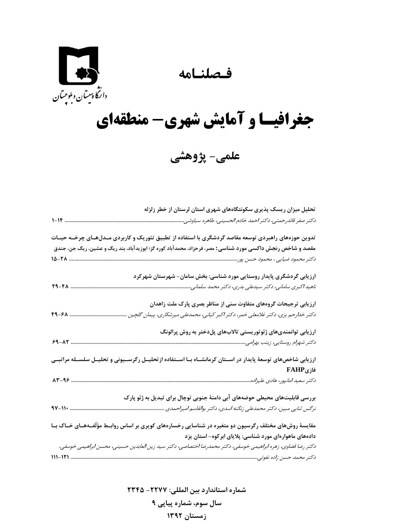## **فـصلنـامه**



## **جغرافيـا و آمايش شهري- منطقهاي**

**علمي- پژوهشي** 

| تحلیل میزان ریسک پذیری سکونتگاههای شهری استان لرستان از خطر زلزله                                                   |
|---------------------------------------------------------------------------------------------------------------------|
| دكتر صفر قائدرحمتي، دكتر احمد خادم الحسيني، طاهره سياوشي.<br>$1 - 1F$                                               |
| تدوین حوزههای راهبردی توسعه مقاصد گردشگری با استفاده از تطبیق تئوریک و کاربردی مــدلهــای چرخــه حیــات             |
| مقصد و شاخص رنجش داکسی مورد شناسی: مصر، فرحزاد، محمدآباد کوره گز؛ ابوزیدآباد، بند ریگ و عشین، ریگ جن، جندق          |
|                                                                                                                     |
| ارزیابی گردشگری پایدار روستایی مورد شناسی: بخش سامان- شهرستان شهرکرد                                                |
| 79-FA<br>ناهید اکبری سامانی، دکتر سیدعلی بدری، دکتر محمد سلمانی                                                     |
| ارزیابی ترجیحات گروههای متفاوت سنی از مناظر بصری پارک ملت زاهدان                                                    |
| $4 - 8$<br>دکتر خدارحم بزی، دکتر غلامعلی خمر، دکتر اکبر کیانی، محمدعلی میرشکاری، پیمان گلچین                        |
| ارزیابی توانمندیهای ژئوتوریستی تالابهای پلدختر به روش پرالونگ                                                       |
| $9 - \Lambda 7$                                                                                                     |
| ارزیابی شاخصهای توسعهٔ پایدار در اســتان کرمانشــاه بــا اســتفاده از تحلیــل رگرســیونی و تحلیــل سلســله مراتبــی |
| فازىFAHP                                                                                                            |
| $AT-99$ .                                                                                                           |
| بررسی قابلیتهای محیطی حوضههای آبی دامنهٔ جنوبی توچال برای تبدیل به ژئو پارک                                         |
| $4V-11$<br>نرگس ثنایی مبین، دکتر محمدعلی زنگنه اسدی، دکتر بوالقاسم امیراحمدی                                        |
| مقایسهٔ روشهای مختلف رگرسیون دو متغیره در شناسایی رخسارههای کویری بر اساس روابـط مؤلّفـههـای خـاک بـا               |
| دادههای ماهوارهای مورد شناسی: پلایای ابرکوه- استان یزد                                                              |
| دکتر رضا قضاوی، زهره ابراهیمی خوسفی، دکتر محمدرضا اختصاصی، دکتر سید زین العابدین حسینی، محسن ابراهیمی خوسفی،        |
| 111-121                                                                                                             |

**شماره استاندارد بين المللي: -2277 2345 سال سوم، شماره پياپي 9 زمستان 1392**